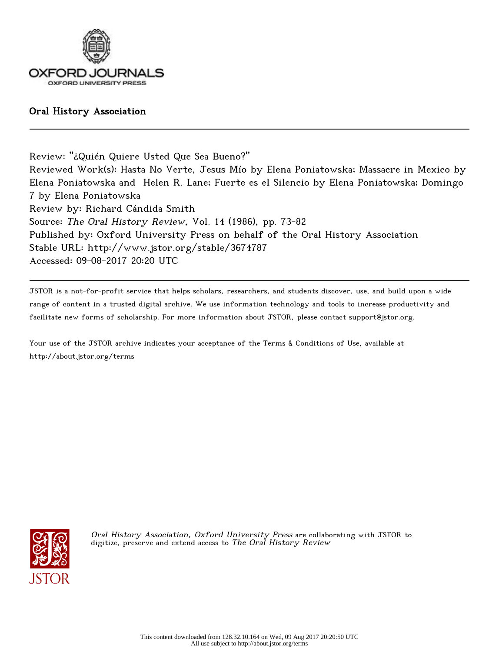

### Oral History Association

Review: "¿Quién Quiere Usted Que Sea Bueno?" Reviewed Work(s): Hasta No Verte, Jesus Mío by Elena Poniatowska; Massacre in Mexico by Elena Poniatowska and Helen R. Lane; Fuerte es el Silencio by Elena Poniatowska; Domingo 7 by Elena Poniatowska Review by: Richard Cándida Smith Source: The Oral History Review, Vol. 14 (1986), pp. 73-82 Published by: Oxford University Press on behalf of the Oral History Association Stable URL: http://www.jstor.org/stable/3674787 Accessed: 09-08-2017 20:20 UTC

JSTOR is a not-for-profit service that helps scholars, researchers, and students discover, use, and build upon a wide range of content in a trusted digital archive. We use information technology and tools to increase productivity and facilitate new forms of scholarship. For more information about JSTOR, please contact support@jstor.org.

Your use of the JSTOR archive indicates your acceptance of the Terms & Conditions of Use, available at http://about.jstor.org/terms



Oral History Association, Oxford University Press are collaborating with JSTOR to digitize, preserve and extend access to The Oral History Review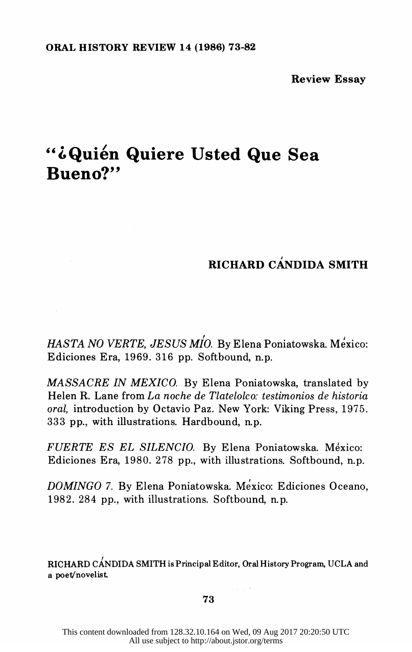# "' Quien Quiere Usted Que Sea Bueno?"

## RICHARD CÁNDIDA SMITH

HASTA NO VERTE, JESUS MIO. By Elena Poniatowska. Mexico: Ediciones Era, 1969. 316 pp. Softbound, n.p.

MASSACRE IN MEXICO. By Elena Poniatowska, translated by Helen R. Lane from La noche de Tlatelolco: testimonios de historia oral, introduction by Octavio Paz. New York: Viking Press, 1975. 333 pp., with illustrations. Hardbound, n.p.

FUERTE ES EL SILENCIO. By Elena Poniatowska. México: Ediciones Era, 1980. 278 pp., with illustrations. Softbound, n.p.

DOMINGO 7. By Elena Poniatowska. Mexico: Ediciones Oceano, 1982. 284 pp., with illustrations. Softbound, n.p.

 RICHARD CANDIDA SMITH is Principal Editor, Oral History Program, UCLA and a poet/novelist

73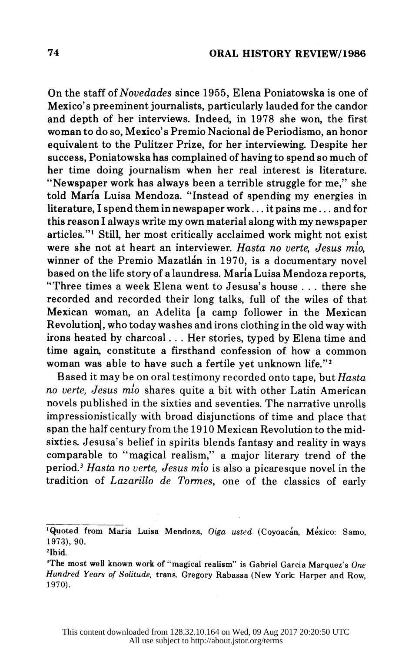On the staff of Novedades since 1955, Elena Poniatowska is one of Mexico's preeminent journalists, particularly lauded for the candor and depth of her interviews. Indeed, in 1978 she won, the first woman to do so, Mexico's Premio Nacional de Periodismo, an honor equivalent to the Pulitzer Prize, for her interviewing. Despite her success, Poniatowska has complained of having to spend so much of her time doing journalism when her real interest is literature. "Newspaper work has always been a terrible struggle for me," she told Maria Luisa Mendoza. "Instead of spending my energies in literature, I spend them in newspaper work... it pains me... and for this reason I always write my own material along with my newspaper articles."' Still, her most critically acclaimed work might not exist were she not at heart an interviewer. Hasta no verte, Jesus mio. winner of the Premio Mazatlán in 1970, is a documentary novel based on the life story of a laundress. Maria Luisa Mendoza reports, "Three times a week Elena went to Jesusa's house . . . there she recorded and recorded their long talks, full of the wiles of that Mexican woman, an Adelita [a camp follower in the Mexican Revolution], who today washes and irons clothing in the old way with irons heated by charcoal... Her stories, typed by Elena time and time again, constitute a firsthand confession of how a common woman was able to have such a fertile yet unknown life."2

 Based it may be on oral testimony recorded onto tape, but Hasta no verte, Jesus mio shares quite a bit with other Latin American novels published in the sixties and seventies. The narrative unrolls impressionistically with broad disjunctions of time and place that span the half century from the 1910 Mexican Revolution to the mid sixties. Jesusa's belief in spirits blends fantasy and reality in ways comparable to "magical realism," a major literary trend of the period.<sup>3</sup> Hasta no verte, Jesus mio is also a picaresque novel in the tradition of Lazarillo de Tormes, one of the classics of early

<sup>&#</sup>x27;Quoted from Maria Luisa Mendoza, Oiga usted (Coyoacan, México: Samo, 1973), 90.<br>2113 de from Maria Luisa Mexico: Samo, 1973, Oiga usted (Co

 <sup>2</sup>Ibid.

'The most well known work of "magical realism" is Gabriel Garcia Marquez's One Hundred Years of Solitude, trans. Gregory Rabassa (New York. Harper and Row, 1970).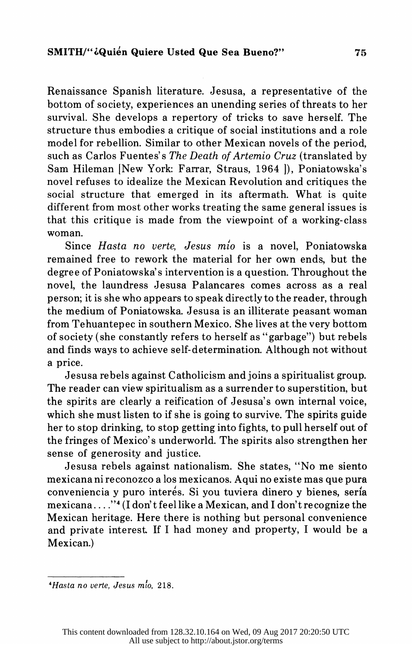Renaissance Spanish literature. Jesusa, a representative of the bottom of society, experiences an unending series of threats to her survival. She develops a repertory of tricks to save herself. The structure thus embodies a critique of social institutions and a role model for rebellion. Similar to other Mexican novels of the period, such as Carlos Fuentes's The Death of Artemio Cruz (translated by Sam Hileman [New York: Farrar, Straus, 1964 ]), Poniatowska's novel refuses to idealize the Mexican Revolution and critiques the social structure that emerged in its aftermath. What is quite different from most other works treating the same general issues is that this critique is made from the viewpoint of a working-class woman.

Since Hasta no verte, Jesus mío is a novel, Poniatowska remained free to rework the material for her own ends, but the degree of Poniatowska's intervention is a question. Throughout the novel, the laundress Jesusa Palancares comes across as a real person; it is she who appears to speak directly to the reader, through the medium of Poniatowska. Jesusa is an illiterate peasant woman from Tehuantepec in southern Mexico. She lives at the very bottom of society (she constantly refers to herself as "garbage") but rebels and finds ways to achieve self-determination. Although not without a price.

 Jesusa rebels against Catholicism and joins a spiritualist group. The reader can view spiritualism as a surrender to superstition, but the spirits are clearly a reification of Jesusa's own internal voice, which she must listen to if she is going to survive. The spirits guide her to stop drinking, to stop getting into fights, to pull herself out of the fringes of Mexico's underworld. The spirits also strengthen her sense of generosity and justice.

 Jesusa rebels against nationalism. She states, "No me siento mexicana ni reconozco a los mexicanos. Aqui no existe mas que pura conveniencia y puro interés. Si you tuviera dinero y bienes, sería mexicana... ."'4 (I don' t feel like a Mexican, and I don't recognize the Mexican heritage. Here there is nothing but personal convenience and private interest If I had money and property, I would be a Mexican.)

 $4$ Hasta no verte, Jesus mio, 218.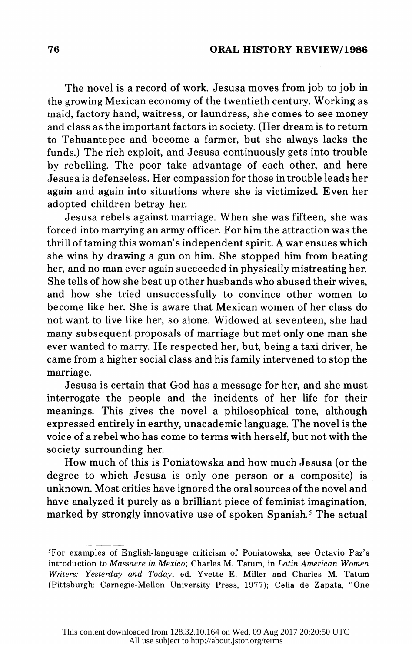The novel is a record of work. Jesusa moves from job to job in the growing Mexican economy of the twentieth century. Working as maid, factory hand, waitress, or laundress, she comes to see money and class as the important factors in society. (Her dream is to return to Tehuantepec and become a farmer, but she always lacks the funds.) The rich exploit, and Jesusa continuously gets into trouble by rebelling. The poor take advantage of each other, and here Jesusa is defenseless. Her compassion for those in trouble leads her again and again into situations where she is victimized. Even her adopted children betray her.

 Jesusa rebels against marriage. When she was fifteen, she was forced into marrying an army officer. For him the attraction was the thrill of taming this woman' s independent spirit. A war ensues which she wins by drawing a gun on him. She stopped him from beating her, and no man ever again succeeded in physically mistreating her. She tells of how she beat up other husbands who abused their wives, and how she tried unsuccessfully to convince other women to become like her. She is aware that Mexican women of her class do not want to live like her, so alone. Widowed at seventeen, she had many subsequent proposals of marriage but met only one man she ever wanted to marry. He respected her, but, being a taxi driver, he came from a higher social class and his family intervened to stop the marriage.

 Jesusa is certain that God has a message for her, and she must interrogate the people and the incidents of her life for their meanings. This gives the novel a philosophical tone, although expressed entirely in earthy, unacademic language. The novel is the voice of a rebel who has come to terms with herself, but not with the society surrounding her.

 How much of this is Poniatowska and how much Jesusa (or the degree to which Jesusa is only one person or a composite) is unknown. Most critics have ignored the oral sources of the novel and have analyzed it purely as a brilliant piece of feminist imagination, marked by strongly innovative use of spoken Spanish.<sup>5</sup> The actual

 <sup>&#</sup>x27;For examples of English-language criticism of Poniatowska, see Octavio Paz's introduction to Massacre in Mexico; Charles M. Tatum, in Latin American Women Writers: Yesterday and Today, ed. Yvette E. Miller and Charles M. Tatum (Pittsburgh- Carnegie-Mellon University Press, 1977); Celia de Zapata, "One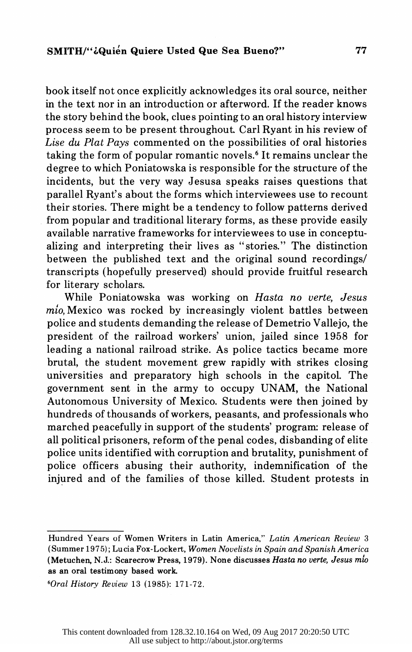book itself not once explicitly acknowledges its oral source, neither in the text nor in an introduction or afterword. If the reader knows the story behind the book, clues pointing to an oral history interview process seem to be present throughout. Carl Ryant in his review of Lise du Plat Pays commented on the possibilities of oral histories taking the form of popular romantic novels.6 It remains unclear the degree to which Poniatowska is responsible for the structure of the incidents, but the very way Jesusa speaks raises questions that parallel Ryant's about the forms which interviewees use to recount their stories. There might be a tendency to follow patterns derived from popular and traditional literary forms, as these provide easily available narrative frameworks for interviewees to use in conceptu alizing and interpreting their lives as "stories." The distinction between the published text and the original sound recordings/ transcripts (hopefully preserved) should provide fruitful research for literary scholars.

While Poniatowska was working on Hasta no verte, Jesus mio, Mexico was rocked by increasingly violent battles between police and students demanding the release of Demetrio Vallejo, the president of the railroad workers' union, jailed since 1958 for leading a national railroad strike. As police tactics became more brutal, the student movement grew rapidly with strikes closing universities and preparatory high schools in the capitol. The government sent in the army to occupy UNAM, the National Autonomous University of Mexico. Students were then joined by hundreds of thousands of workers, peasants, and professionals who marched peacefully in support of the students' program: release of all political prisoners, reform of the penal codes, disbanding of elite police units identified with corruption and brutality, punishment of police officers abusing their authority, indemnification of the injured and of the families of those killed. Student protests in

Hundred Years of Women Writers in Latin America," Latin American Review 3 (Summer 1975); Lucia Fox-Lockert, Women Novelists in Spain and Spanish America (Metuchen, N.J.: Scarecrow Press, 1979). None discusses Hasta no verte, Jesus mio as an oral testimony based work.

 <sup>6</sup>Oral History Review 13 (1985): 171-72.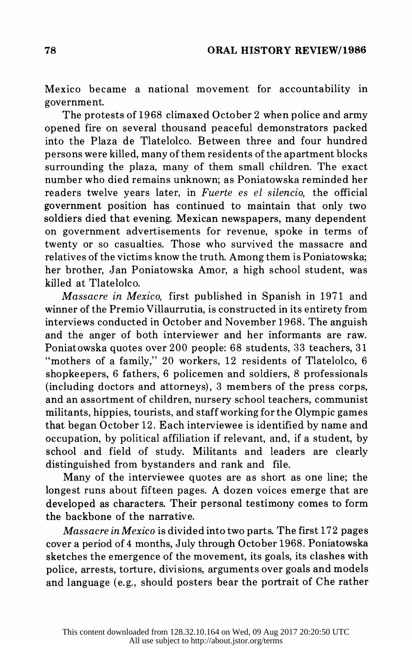Mexico became a national movement for accountability in government.

 The protests of 1968 climaxed October 2 when police and army opened fire on several thousand peaceful demonstrators packed into the Plaza de Tlatelolco. Between three and four hundred persons were killed, many of them residents of the apartment blocks surrounding the plaza, many of them small children. The exact number who died remains unknown; as Poniatowska reminded her readers twelve years later, in Fuerte es el silencio, the official government position has continued to maintain that only two soldiers died that evening. Mexican newspapers, many dependent on government advertisements for revenue, spoke in terms of twenty or so casualties. Those who survived the massacre and relatives of the victims know the truth. Among them is Poniatowska; her brother, Jan Poniatowska Amor, a high school student, was killed at Tlatelolco.

 Massacre in Mexico, first published in Spanish in 1971 and winner of the Premio Villaurrutia, is constructed in its entirety from interviews conducted in October and November 1968. The anguish and the anger of both interviewer and her informants are raw. Poniatowska quotes over 200 people: 68 students, 33 teachers, 31 "mothers of a family," 20 workers, 12 residents of Tlatelolco, 6 shopkeepers, 6 fathers, 6 policemen and soldiers, 8 professionals (including doctors and attorneys), 3 members of the press corps, and an assortment of children, nursery school teachers, communist militants, hippies, tourists, and staff working for the Olympic games that began October 12. Each interviewee is identified by name and occupation, by political affiliation if relevant, and, if a student, by school and field of study. Militants and leaders are clearly distinguished from bystanders and rank and file.

 Many of the interviewee quotes are as short as one line; the longest runs about fifteen pages. A dozen voices emerge that are developed as characters. Their personal testimony comes to form the backbone of the narrative.

 Massacre in Mexico is divided into two parts. The first 172 pages cover a period of 4 months, July through October 1968. Poniatowska sketches the emergence of the movement, its goals, its clashes with police, arrests, torture, divisions, arguments over goals and models and language (e.g., should posters bear the portrait of Che rather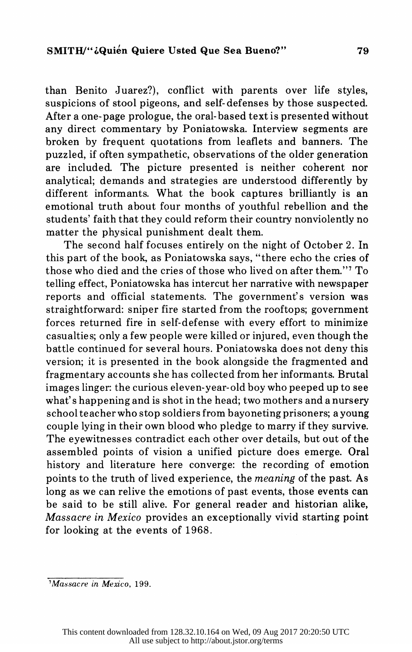#### SMITH/"*i*Quien Quiere Usted Que Sea Bueno?" 79

 than Benito Juarez?), conflict with parents over life styles, suspicions of stool pigeons, and self-defenses by those suspected. After a one-page prologue, the oral-based text is presented without any direct commentary by Poniatowska. Interview segments are broken by frequent quotations from leaflets and banners. The puzzled, if often sympathetic, observations of the older generation are included. The picture presented is neither coherent nor analytical; demands and strategies are understood differently by different informants. What the book captures brilliantly is an emotional truth about four months of youthful rebellion and the students' faith that they could reform their country nonviolently no matter the physical punishment dealt them.

 The second half focuses entirely on the night of October 2. In this part of the book, as Poniatowska says, "there echo the cries of those who died and the cries of those who lived on after them."7 To telling effect, Poniatowska has intercut her narrative with newspaper reports and official statements. The government's version was straightforward: sniper fire started from the rooftops; government forces returned fire in self-defense with every effort to minimize casualties; only a few people were killed or injured, even though the battle continued for several hours. Poniatowska does not deny this version; it is presented in the book alongside the fragmented and fragmentary accounts she has collected from her informants. Brutal images linger: the curious eleven-year-old boy who peeped up to see what's happening and is shot in the head; two mothers and a nursery school teacher who stop soldiers from bayoneting prisoners; a young couple lying in their own blood who pledge to marry if they survive. The eyewitnesses contradict each other over details, but out of the assembled points of vision a unified picture does emerge. Oral history and literature here converge: the recording of emotion points to the truth of lived experience, the meaning of the past. As long as we can relive the emotions of past events, those events can be said to be still alive. For general reader and historian alike, Massacre in Mexico provides an exceptionally vivid starting point for looking at the events of 1968.

 <sup>&#</sup>x27;Massacre in Mexico, 199.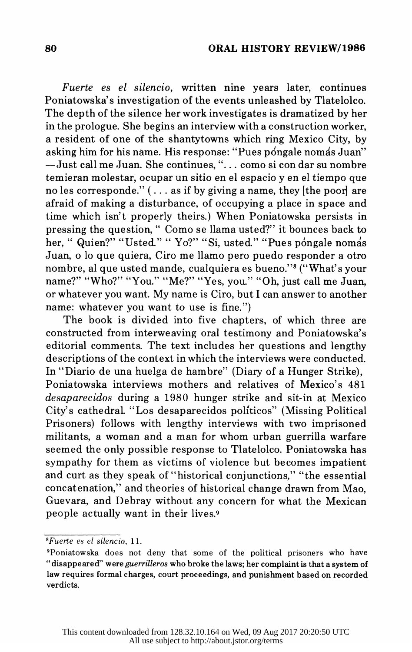Fuerte es el silencio, written nine years later, continues Poniatowska's investigation of the events unleashed by Tlatelolco. The depth of the silence her work investigates is dramatized by her in the prologue. She begins an interview with a construction worker, a resident of one of the shantytowns which ring Mexico City, by asking him for his name. His response: "Pues pongale nomas Juan" -Just call me Juan. She continues, "... como si con dar su nombre temieran molestar, ocupar un sitio en el espacio y en el tiempo que no les corresponde."  $(\ldots$  as if by giving a name, they [the poor] are afraid of making a disturbance, of occupying a place in space and time which isn't properly theirs.) When Poniatowska persists in pressing the question, " Como se llama usted?" it bounces back to her, " Quien?" "Usted." " Yo?" "Si, usted." "Pues póngale nomás Juan, o lo que quiera, Ciro me Ilamo pero puedo responder a otro nombre, al que usted mande, cualquiera es bueno."8 ("What's your name?" "Who?" "You." "Me?" "Yes, you." "Oh, just call me Juan, or whatever you want. My name is Ciro, but I can answer to another name: whatever you want to use is fine.")

 The book is divided into five chapters, of which three are constructed from interweaving oral testimony and Poniatowska's editorial comments. The text includes her questions and lengthy descriptions of the context in which the interviews were conducted. In "Diario de una huelga de hambre" (Diary of a Hunger Strike), Poniatowska interviews mothers and relatives of Mexico's 481 desaparecidos during a 1980 hunger strike and sit-in at Mexico City's cathedral. "Los desaparecidos politicos" (Missing Political Prisoners) follows with lengthy interviews with two imprisoned militants, a woman and a man for whom urban guerrilla warfare seemed the only possible response to Tlatelolco. Poniatowska has sympathy for them as victims of violence but becomes impatient and curt as they speak of "historical conjunctions," "the essential concatenation," and theories of historical change drawn from Mao, Guevara, and Debray without any concern for what the Mexican people actually want in their lives.9

 <sup>8</sup>Fuerte es el silencio, 11.

 <sup>9</sup>Poniatowska does not deny that some of the political prisoners who have "disappeared" were *guerrilleros* who broke the laws; her complaint is that a system of law requires formal charges, court proceedings, and punishment based on recorded verdicts.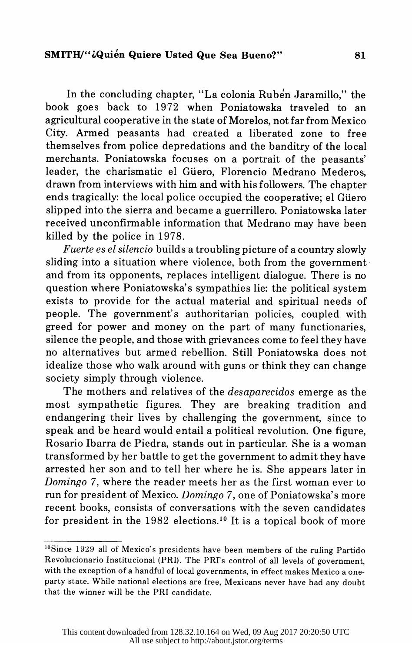### SMITH/"¿Quién Quiere Usted Que Sea Bueno?" 81

In the concluding chapter, "La colonia Ruben Jaramillo," the book goes back to 1972 when Poniatowska traveled to an agricultural cooperative in the state of Morelos, not far from Mexico City. Armed peasants had created a liberated zone to free themselves from police depredations and the banditry of the local merchants. Poniatowska focuses on a portrait of the peasants' leader, the charismatic el Güero, Florencio Medrano Mederos, drawn from interviews with him and with his followers. The chapter ends tragically: the local police occupied the cooperative; el Güero slipped into the sierra and became a guerrillero. Poniatowska later received unconfirmable information that Medrano may have been killed by the police in 1978.

 Fuerte es el silencio builds a troubling picture of a country slowly sliding into a situation where violence, both from the government and from its opponents, replaces intelligent dialogue. There is no question where Poniatowska's sympathies lie: the political system exists to provide for the actual material and spiritual needs of people. The government's authoritarian policies, coupled with greed for power and money on the part of many functionaries, silence the people, and those with grievances come to feel they have no alternatives but armed rebellion. Still Poniatowska does not idealize those who walk around with guns or think they can change society simply through violence.

 The mothers and relatives of the desaparecidos emerge as the most sympathetic figures. They are breaking tradition and endangering their lives by challenging the government, since to speak and be heard would entail a political revolution. One figure, Rosario Ibarra de Piedra, stands out in particular. She is a woman transformed by her battle to get the government to admit they have arrested her son and to tell her where he is. She appears later in Domingo 7, where the reader meets her as the first woman ever to run for president of Mexico. Domingo 7, one of Poniatowska's more recent books, consists of conversations with the seven candidates for president in the  $1982$  elections.<sup>10</sup> It is a topical book of more

 <sup>&#</sup>x27;0Since 1929 all of Mexico's presidents have been members of the ruling Partido Revolucionario Institucional (PRI). The PRI's control of all levels of government, with the exception of a handful of local governments, in effect makes Mexico a one party state. While national elections are free, Mexicans never have had any doubt that the winner will be the PRI candidate.